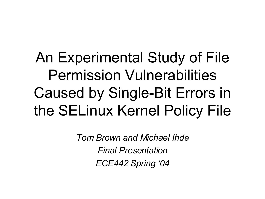#### An Experimental Study of File Permission Vulnerabilities Caused by Single-Bit Errors in the SELinux Kernel Policy File

*Tom Brown and Michael Ihde Final Presentation ECE442 Spring '04*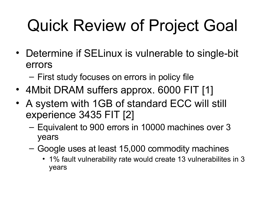# Quick Review of Project Goal

- Determine if SELinux is vulnerable to single-bit errors
	- First study focuses on errors in policy file
- 4Mbit DRAM suffers approx. 6000 FIT [1]
- A system with 1GB of standard ECC will still experience 3435 FIT [2]
	- Equivalent to 900 errors in 10000 machines over 3 years
	- Google uses at least 15,000 commodity machines
		- 1% fault vulnerability rate would create 13 vulnerabilites in 3 years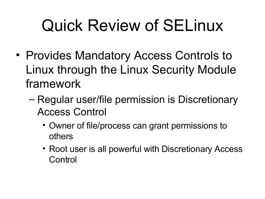# Quick Review of SELinux

- Provides Mandatory Access Controls to Linux through the Linux Security Module framework
	- Regular user/file permission is Discretionary Access Control
		- Owner of file/process can grant permissions to others
		- Root user is all powerful with Discretionary Access **Control**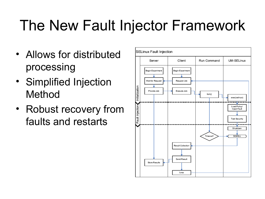#### The New Fault Injector Framework

- Allows for distributed processing
- Simplified Injection Method
- Robust recovery from faults and restarts

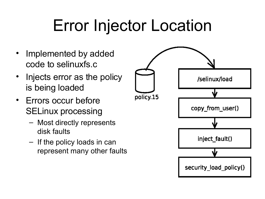# Error Injector Location

- Implemented by added code to selinuxfs.c
- Injects error as the policy is being loaded
- Errors occur before SELinux processing
	- Most directly represents disk faults
	- If the policy loads in can represent many other faults

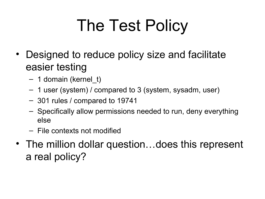# The Test Policy

- Designed to reduce policy size and facilitate easier testing
	- 1 domain (kernel\_t)
	- 1 user (system) / compared to 3 (system, sysadm, user)
	- 301 rules / compared to 19741
	- Specifically allow permissions needed to run, deny everything else
	- File contexts not modified
- The million dollar question...does this represent a real policy?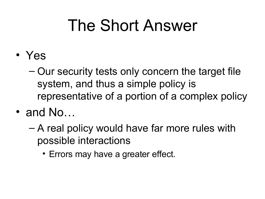### The Short Answer

- Yes
	- Our security tests only concern the target file system, and thus a simple policy is representative of a portion of a complex policy
- and No...
	- A real policy would have far more rules with possible interactions
		- Errors may have a greater effect.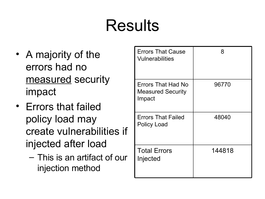## Results

- A majority of the errors had no measured security impact
- Errors that failed policy load may create vulnerabilities if injected after load
	- This is an artifact of our injection method

| <b>Errors That Cause</b><br><b>Vulnerabilities</b>       | 8      |
|----------------------------------------------------------|--------|
| Errors That Had No<br><b>Measured Security</b><br>Impact | 96770  |
| <b>Errors That Failed</b><br><b>Policy Load</b>          | 48040  |
| <b>Total Errors</b><br>Injected                          | 144818 |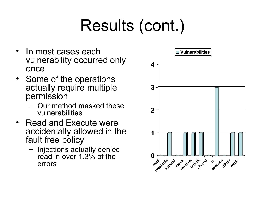# Results (cont.)

- In most cases each vulnerability occurred only once
- Some of the operations actually require multiple permission
	- Our method masked these vulnerabilities
- Read and Execute were accidentally allowed in the fault free policy
	- Injections actually denied read in over 1.3% of the errors

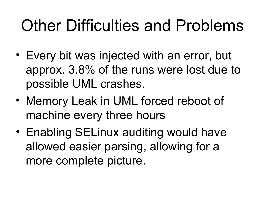## Other Difficulties and Problems

- Every bit was injected with an error, but approx. 3.8% of the runs were lost due to possible UML crashes.
- Memory Leak in UML forced reboot of machine every three hours
- Enabling SELinux auditing would have allowed easier parsing, allowing for a more complete picture.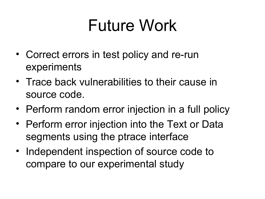### Future Work

- Correct errors in test policy and re-run experiments
- Trace back vulnerabilities to their cause in source code.
- Perform random error injection in a full policy
- Perform error injection into the Text or Data segments using the ptrace interface
- Independent inspection of source code to compare to our experimental study